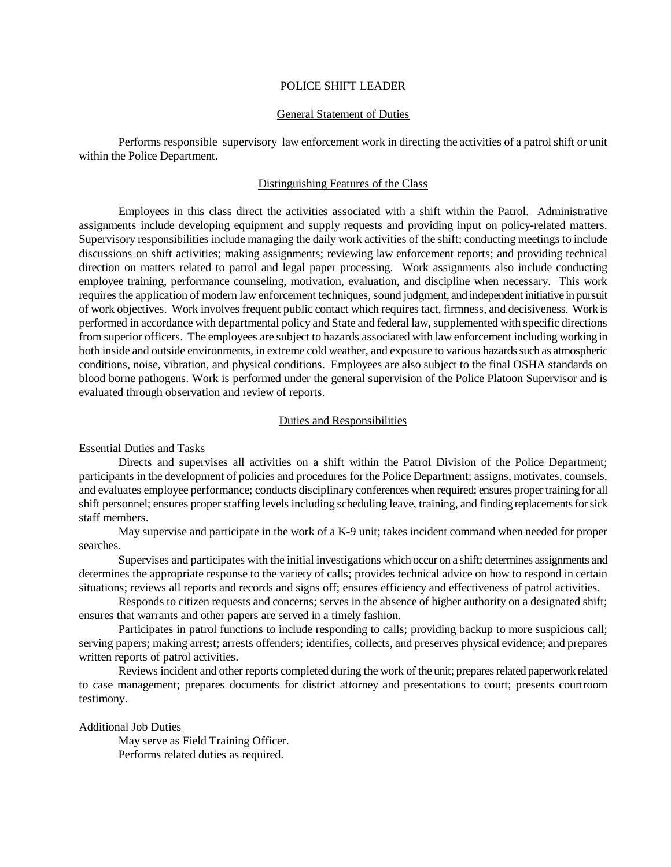### POLICE SHIFT LEADER

## General Statement of Duties

Performs responsible supervisory law enforcement work in directing the activities of a patrol shift or unit within the Police Department.

# Distinguishing Features of the Class

Employees in this class direct the activities associated with a shift within the Patrol. Administrative assignments include developing equipment and supply requests and providing input on policy-related matters. Supervisory responsibilities include managing the daily work activities of the shift; conducting meetings to include discussions on shift activities; making assignments; reviewing law enforcement reports; and providing technical direction on matters related to patrol and legal paper processing. Work assignments also include conducting employee training, performance counseling, motivation, evaluation, and discipline when necessary. This work requires the application of modern law enforcement techniques, sound judgment, and independent initiative in pursuit of work objectives. Work involves frequent public contact which requires tact, firmness, and decisiveness. Work is performed in accordance with departmental policy and State and federal law, supplemented with specific directions from superior officers. The employees are subject to hazards associated with law enforcement including working in both inside and outside environments, in extreme cold weather, and exposure to various hazards such as atmospheric conditions, noise, vibration, and physical conditions. Employees are also subject to the final OSHA standards on blood borne pathogens. Work is performed under the general supervision of the Police Platoon Supervisor and is evaluated through observation and review of reports.

# Duties and Responsibilities

Essential Duties and Tasks

Directs and supervises all activities on a shift within the Patrol Division of the Police Department; participants in the development of policies and procedures for the Police Department; assigns, motivates, counsels, and evaluates employee performance; conducts disciplinary conferences when required; ensures proper training for all shift personnel; ensures proper staffing levels including scheduling leave, training, and finding replacements for sick staff members.

May supervise and participate in the work of a K-9 unit; takes incident command when needed for proper searches.

Supervises and participates with the initial investigations which occur on a shift; determines assignments and determines the appropriate response to the variety of calls; provides technical advice on how to respond in certain situations; reviews all reports and records and signs off; ensures efficiency and effectiveness of patrol activities.

Responds to citizen requests and concerns; serves in the absence of higher authority on a designated shift; ensures that warrants and other papers are served in a timely fashion.

Participates in patrol functions to include responding to calls; providing backup to more suspicious call; serving papers; making arrest; arrests offenders; identifies, collects, and preserves physical evidence; and prepares written reports of patrol activities.

Reviews incident and other reports completed during the work of the unit; prepares related paperwork related to case management; prepares documents for district attorney and presentations to court; presents courtroom testimony.

#### Additional Job Duties

May serve as Field Training Officer. Performs related duties as required.